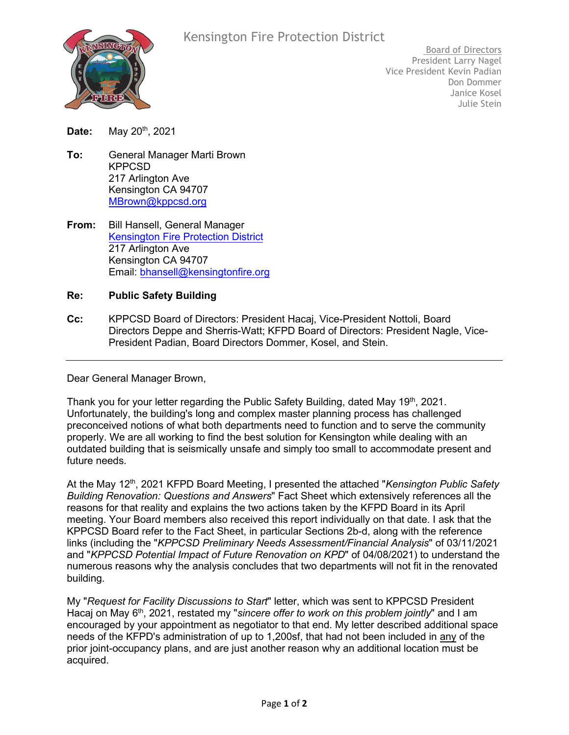

# Kensington Fire Protection District

Board of Directors President Larry Nagel Vice President Kevin Padian Don Dommer Janice Kosel Julie Stein

**Date:** May 20th, 2021

- **To:** General Manager Marti Brown KPPCSD 217 Arlington Ave Kensington CA 94707 [MBrown@kppcsd.org](mailto:MBrown@kppcsd.org)
- **From:** Bill Hansell, General Manager [Kensington Fire Protection District](https://www.kensingtonfire.org/) 217 Arlington Ave Kensington CA 94707 Email: [bhansell@kensingtonfire.org](mailto:bhansell@kensingtonfire.org)

#### **Re: Public Safety Building**

**Cc:** KPPCSD Board of Directors: President Hacaj, Vice-President Nottoli, Board Directors Deppe and Sherris-Watt; KFPD Board of Directors: President Nagle, Vice-President Padian, Board Directors Dommer, Kosel, and Stein.

Dear General Manager Brown,

Thank you for your letter regarding the Public Safety Building, dated May 19th, 2021. Unfortunately, the building's long and complex master planning process has challenged preconceived notions of what both departments need to function and to serve the community properly. We are all working to find the best solution for Kensington while dealing with an outdated building that is seismically unsafe and simply too small to accommodate present and future needs.

At the May 12<sup>th</sup>, 2021 KFPD Board Meeting, I presented the attached "*Kensington Public Safety Building Renovation: Questions and Answers*" Fact Sheet which extensively references all the reasons for that reality and explains the two actions taken by the KFPD Board in its April meeting. Your Board members also received this report individually on that date. I ask that the KPPCSD Board refer to the Fact Sheet, in particular Sections 2b-d, along with the reference links (including the "*KPPCSD Preliminary Needs Assessment/Financial Analysis*" of 03/11/2021 and "*KPPCSD Potential Impact of Future Renovation on KPD*" of 04/08/2021) to understand the numerous reasons why the analysis concludes that two departments will not fit in the renovated building.

My "*Request for Facility Discussions to Start*" letter, which was sent to KPPCSD President Hacaj on May 6<sup>th</sup>, 2021, restated my "*sincere offer to work on this problem jointly*" and I am encouraged by your appointment as negotiator to that end. My letter described additional space needs of the KFPD's administration of up to 1,200sf, that had not been included in any of the prior joint-occupancy plans, and are just another reason why an additional location must be acquired.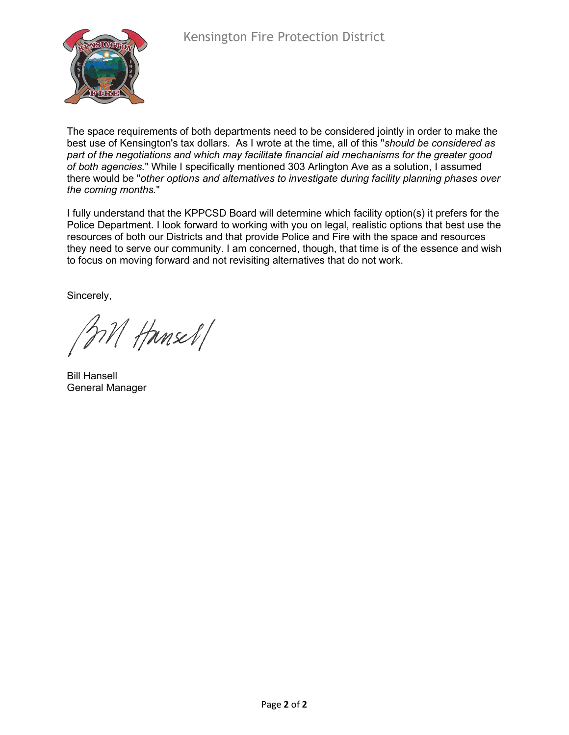The space requirements of both departments need to be considered jointly in order to make the best use of Kensington's tax dollars. As I wrote at the time, all of this "*should be considered as part of the negotiations and which may facilitate financial aid mechanisms for the greater good of both agencies.*" While I specifically mentioned 303 Arlington Ave as a solution, I assumed there would be "*other options and alternatives to investigate during facility planning phases over the coming months.*"

I fully understand that the KPPCSD Board will determine which facility option(s) it prefers for the Police Department. I look forward to working with you on legal, realistic options that best use the resources of both our Districts and that provide Police and Fire with the space and resources they need to serve our community. I am concerned, though, that time is of the essence and wish to focus on moving forward and not revisiting alternatives that do not work.

Sincerely,

M Hansel/

Bill Hansell General Manager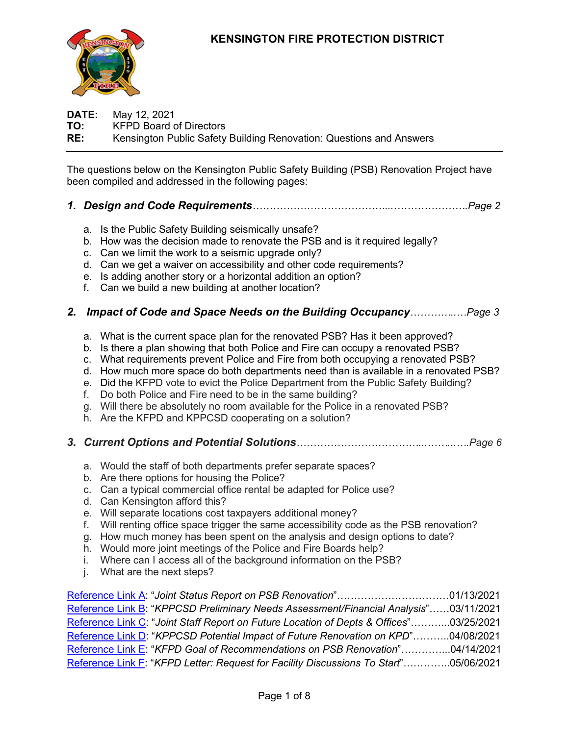# **KENSINGTON FIRE PROTECTION DISTRICT**



**DATE:** May 12, 2021 **TO:** KFPD Board of Directors **RE:** Kensington Public Safety Building Renovation: Questions and Answers

The questions below on the Kensington Public Safety Building (PSB) Renovation Project have been compiled and addressed in the following pages:

- *1. Design and Code Requirements…………………………………...………………….Page 2*
	- a. Is the Public Safety Building seismically unsafe?
	- b. How was the decision made to renovate the PSB and is it required legally?
	- c. Can we limit the work to a seismic upgrade only?
	- d. Can we get a waiver on accessibility and other code requirements?
	- e. Is adding another story or a horizontal addition an option?
	- f. Can we build a new building at another location?

## *2. Impact of Code and Space Needs on the Building Occupancy…………..…Page 3*

- a. What is the current space plan for the renovated PSB? Has it been approved?
- b. Is there a plan showing that both Police and Fire can occupy a renovated PSB?
- c. What requirements prevent Police and Fire from both occupying a renovated PSB?
- d. How much more space do both departments need than is available in a renovated PSB?
- e. Did the KFPD vote to evict the Police Department from the Public Safety Building?
- f. Do both Police and Fire need to be in the same building?
- g. Will there be absolutely no room available for the Police in a renovated PSB?
- h. Are the KFPD and KPPCSD cooperating on a solution?
- *3. Current Options and Potential Solutions………………………………...……...….Page 6*
	- a. Would the staff of both departments prefer separate spaces?
	- b. Are there options for housing the Police?
	- c. Can a typical commercial office rental be adapted for Police use?
	- d. Can Kensington afford this?
	- e. Will separate locations cost taxpayers additional money?
	- f. Will renting office space trigger the same accessibility code as the PSB renovation?
	- g. How much money has been spent on the analysis and design options to date?
	- h. Would more joint meetings of the Police and Fire Boards help?
	- i. Where can I access all of the background information on the PSB?
	- j. What are the next steps?

[Reference Link](https://www.kensingtonfire.org/files/4004c4430/Jan+13%2C+2021+Joint+Managers+and+Chiefs+PSB+Status+Report.pdf) A: "*Joint Status Report on PSB Renovation*"……………………………01/13/2021 [Reference Link B:](https://www.kensingtonfire.org/files/dd36e8896/20210311+KPPCSD+Preliminary+Needs+Assessment+and+Financial+Analysis.pdf) "*KPPCSD Preliminary Needs Assessment/Financial Analysis*"……03/11/2021 [Reference Link C:](https://www.kensingtonfire.org/files/aa41d3abd/Mar+25%2C+2021+Joint+Board+Mtg+on+Status%2C+Needs%2C+and+Variables.pdf) "*Joint Staff Report on Future Location of Depts & Offices*"………...03/25/2021 [Reference Link D:](https://www.kensingtonfire.org/files/2d9a2050e/20210408+KPPCSD+PSB+Potential+Impact+of+Future+Renovation+on+KPD.pdf) "*KPPCSD Potential Impact of Future Renovation on KPD*"………..04/08/2021 [Reference Link E:](https://www.kensingtonfire.org/files/a4225cadb/20210414_04c+PSB+Recommendation+Introduction.pdf) "*KFPD Goal of Recommendations on PSB Renovation*"…………...04/14/2021 [Reference Link F:](https://www.kensingtonfire.org/files/5db8b6289/20210506+KFPD+Letter+to+KPPCSD.pdf) "*KFPD Letter: Request for Facility Discussions To Start*"…………..05/06/2021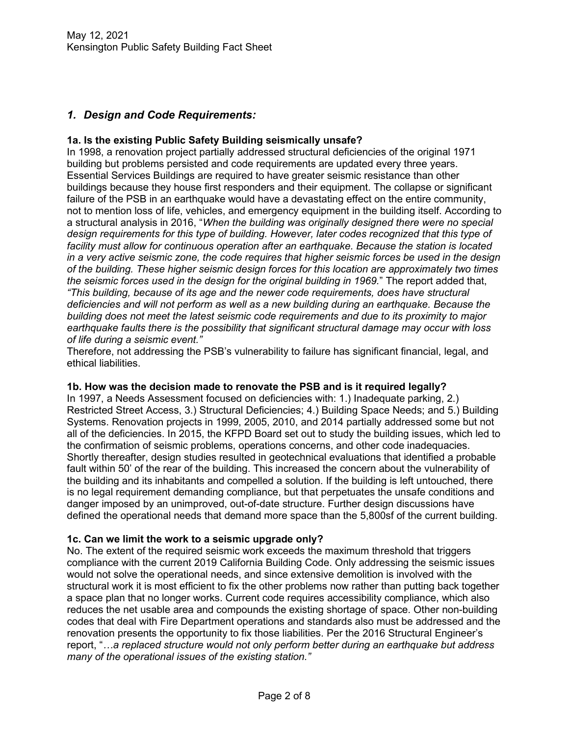# *1. Design and Code Requirements:*

## **1a. Is the existing Public Safety Building seismically unsafe?**

In 1998, a renovation project partially addressed structural deficiencies of the original 1971 building but problems persisted and code requirements are updated every three years. Essential Services Buildings are required to have greater seismic resistance than other buildings because they house first responders and their equipment. The collapse or significant failure of the PSB in an earthquake would have a devastating effect on the entire community, not to mention loss of life, vehicles, and emergency equipment in the building itself. According to a structural analysis in 2016, "*When the building was originally designed there were no special design requirements for this type of building. However, later codes recognized that this type of facility must allow for continuous operation after an earthquake. Because the station is located in a very active seismic zone, the code requires that higher seismic forces be used in the design of the building. These higher seismic design forces for this location are approximately two times the seismic forces used in the design for the original building in 1969.*" The report added that, *"This building, because of its age and the newer code requirements, does have structural deficiencies and will not perform as well as a new building during an earthquake. Because the building does not meet the latest seismic code requirements and due to its proximity to major earthquake faults there is the possibility that significant structural damage may occur with loss of life during a seismic event."*

Therefore, not addressing the PSB's vulnerability to failure has significant financial, legal, and ethical liabilities.

#### **1b. How was the decision made to renovate the PSB and is it required legally?**

In 1997, a Needs Assessment focused on deficiencies with: 1.) Inadequate parking, 2.) Restricted Street Access, 3.) Structural Deficiencies; 4.) Building Space Needs; and 5.) Building Systems. Renovation projects in 1999, 2005, 2010, and 2014 partially addressed some but not all of the deficiencies. In 2015, the KFPD Board set out to study the building issues, which led to the confirmation of seismic problems, operations concerns, and other code inadequacies. Shortly thereafter, design studies resulted in geotechnical evaluations that identified a probable fault within 50' of the rear of the building. This increased the concern about the vulnerability of the building and its inhabitants and compelled a solution. If the building is left untouched, there is no legal requirement demanding compliance, but that perpetuates the unsafe conditions and danger imposed by an unimproved, out-of-date structure. Further design discussions have defined the operational needs that demand more space than the 5,800sf of the current building.

#### **1c. Can we limit the work to a seismic upgrade only?**

No. The extent of the required seismic work exceeds the maximum threshold that triggers compliance with the current 2019 California Building Code. Only addressing the seismic issues would not solve the operational needs, and since extensive demolition is involved with the structural work it is most efficient to fix the other problems now rather than putting back together a space plan that no longer works. Current code requires accessibility compliance, which also reduces the net usable area and compounds the existing shortage of space. Other non-building codes that deal with Fire Department operations and standards also must be addressed and the renovation presents the opportunity to fix those liabilities. Per the 2016 Structural Engineer's report, "*…a replaced structure would not only perform better during an earthquake but address many of the operational issues of the existing station."*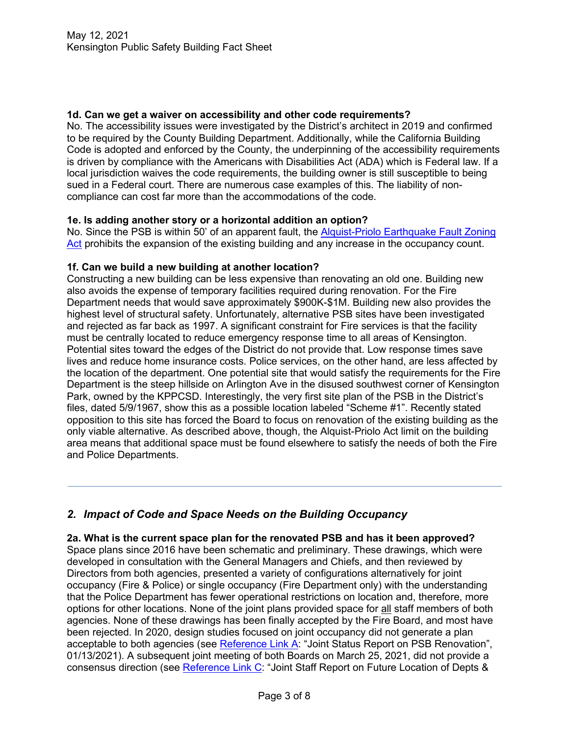## **1d. Can we get a waiver on accessibility and other code requirements?**

No. The accessibility issues were investigated by the District's architect in 2019 and confirmed to be required by the County Building Department. Additionally, while the California Building Code is adopted and enforced by the County, the underpinning of the accessibility requirements is driven by compliance with the Americans with Disabilities Act (ADA) which is Federal law. If a local jurisdiction waives the code requirements, the building owner is still susceptible to being sued in a Federal court. There are numerous case examples of this. The liability of noncompliance can cost far more than the accommodations of the code.

## **1e. Is adding another story or a horizontal addition an option?**

No. Since the PSB is within 50' of an apparent fault, the Alquist-Priolo Earthquake Fault Zoning [Act](https://leginfo.legislature.ca.gov/faces/codes_displayText.xhtml?division=2.&chapter=7.5.&lawCode=PRC) prohibits the expansion of the existing building and any increase in the occupancy count.

#### **1f. Can we build a new building at another location?**

Constructing a new building can be less expensive than renovating an old one. Building new also avoids the expense of temporary facilities required during renovation. For the Fire Department needs that would save approximately \$900K-\$1M. Building new also provides the highest level of structural safety. Unfortunately, alternative PSB sites have been investigated and rejected as far back as 1997. A significant constraint for Fire services is that the facility must be centrally located to reduce emergency response time to all areas of Kensington. Potential sites toward the edges of the District do not provide that. Low response times save lives and reduce home insurance costs. Police services, on the other hand, are less affected by the location of the department. One potential site that would satisfy the requirements for the Fire Department is the steep hillside on Arlington Ave in the disused southwest corner of Kensington Park, owned by the KPPCSD. Interestingly, the very first site plan of the PSB in the District's files, dated 5/9/1967, show this as a possible location labeled "Scheme #1". Recently stated opposition to this site has forced the Board to focus on renovation of the existing building as the only viable alternative. As described above, though, the Alquist-Priolo Act limit on the building area means that additional space must be found elsewhere to satisfy the needs of both the Fire and Police Departments.

# *2. Impact of Code and Space Needs on the Building Occupancy*

#### **2a. What is the current space plan for the renovated PSB and has it been approved?**

Space plans since 2016 have been schematic and preliminary. These drawings, which were developed in consultation with the General Managers and Chiefs, and then reviewed by Directors from both agencies, presented a variety of configurations alternatively for joint occupancy (Fire & Police) or single occupancy (Fire Department only) with the understanding that the Police Department has fewer operational restrictions on location and, therefore, more options for other locations. None of the joint plans provided space for all staff members of both agencies. None of these drawings has been finally accepted by the Fire Board, and most have been rejected. In 2020, design studies focused on joint occupancy did not generate a plan acceptable to both agencies (see [Reference Link A:](https://www.kensingtonfire.org/files/4004c4430/Jan+13%2C+2021+Joint+Managers+and+Chiefs+PSB+Status+Report.pdf) "Joint Status Report on PSB Renovation", 01/13/2021). A subsequent joint meeting of both Boards on March 25, 2021, did not provide a consensus direction (see [Reference Link C:](https://www.kensingtonfire.org/files/aa41d3abd/Mar+25%2C+2021+Joint+Board+Mtg+on+Status%2C+Needs%2C+and+Variables.pdf) "Joint Staff Report on Future Location of Depts &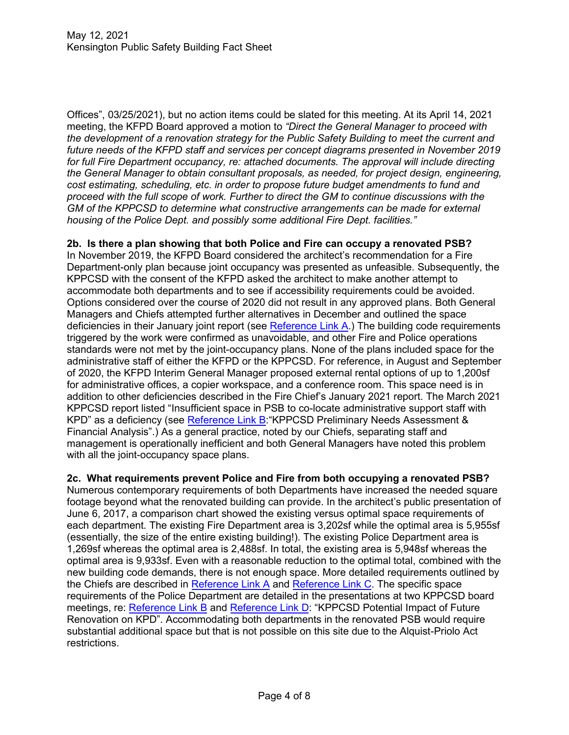Offices", 03/25/2021), but no action items could be slated for this meeting. At its April 14, 2021 meeting, the KFPD Board approved a motion to *"Direct the General Manager to proceed with the development of a renovation strategy for the Public Safety Building to meet the current and future needs of the KFPD staff and services per concept diagrams presented in November 2019 for full Fire Department occupancy, re: attached documents. The approval will include directing the General Manager to obtain consultant proposals, as needed, for project design, engineering, cost estimating, scheduling, etc. in order to propose future budget amendments to fund and proceed with the full scope of work. Further to direct the GM to continue discussions with the GM of the KPPCSD to determine what constructive arrangements can be made for external housing of the Police Dept. and possibly some additional Fire Dept. facilities."*

**2b. Is there a plan showing that both Police and Fire can occupy a renovated PSB?**

In November 2019, the KFPD Board considered the architect's recommendation for a Fire Department-only plan because joint occupancy was presented as unfeasible. Subsequently, the KPPCSD with the consent of the KFPD asked the architect to make another attempt to accommodate both departments and to see if accessibility requirements could be avoided. Options considered over the course of 2020 did not result in any approved plans. Both General Managers and Chiefs attempted further alternatives in December and outlined the space deficiencies in their January joint report (see [Reference Link](https://www.kensingtonfire.org/files/4004c4430/Jan+13%2C+2021+Joint+Managers+and+Chiefs+PSB+Status+Report.pdf) A.) The building code requirements triggered by the work were confirmed as unavoidable, and other Fire and Police operations standards were not met by the joint-occupancy plans. None of the plans included space for the administrative staff of either the KFPD or the KPPCSD. For reference, in August and September of 2020, the KFPD Interim General Manager proposed external rental options of up to 1,200sf for administrative offices, a copier workspace, and a conference room. This space need is in addition to other deficiencies described in the Fire Chief's January 2021 report. The March 2021 KPPCSD report listed "Insufficient space in PSB to co-locate administrative support staff with KPD" as a deficiency (see [Reference Link B:](https://www.kensingtonfire.org/files/dd36e8896/20210311+KPPCSD+Preliminary+Needs+Assessment+and+Financial+Analysis.pdf)"KPPCSD Preliminary Needs Assessment & Financial Analysis".) As a general practice, noted by our Chiefs, separating staff and management is operationally inefficient and both General Managers have noted this problem with all the joint-occupancy space plans.

**2c. What requirements prevent Police and Fire from both occupying a renovated PSB?**

Numerous contemporary requirements of both Departments have increased the needed square footage beyond what the renovated building can provide. In the architect's public presentation of June 6, 2017, a comparison chart showed the existing versus optimal space requirements of each department. The existing Fire Department area is 3,202sf while the optimal area is 5,955sf (essentially, the size of the entire existing building!). The existing Police Department area is 1,269sf whereas the optimal area is 2,488sf. In total, the existing area is 5,948sf whereas the optimal area is 9,933sf. Even with a reasonable reduction to the optimal total, combined with the new building code demands, there is not enough space. More detailed requirements outlined by the Chiefs are described in [Reference Link A](https://www.kensingtonfire.org/files/4004c4430/Jan+13%2C+2021+Joint+Managers+and+Chiefs+PSB+Status+Report.pdf) and [Reference Link C.](https://www.kensingtonfire.org/files/aa41d3abd/Mar+25%2C+2021+Joint+Board+Mtg+on+Status%2C+Needs%2C+and+Variables.pdf) The specific space requirements of the Police Department are detailed in the presentations at two KPPCSD board meetings, re: [Reference Link](https://www.kensingtonfire.org/files/dd36e8896/20210311+KPPCSD+Preliminary+Needs+Assessment+and+Financial+Analysis.pdf) B and [Reference Link D:](https://www.kensingtonfire.org/files/2d9a2050e/20210408+KPPCSD+PSB+Potential+Impact+of+Future+Renovation+on+KPD.pdf) "KPPCSD Potential Impact of Future Renovation on KPD". Accommodating both departments in the renovated PSB would require substantial additional space but that is not possible on this site due to the Alquist-Priolo Act restrictions.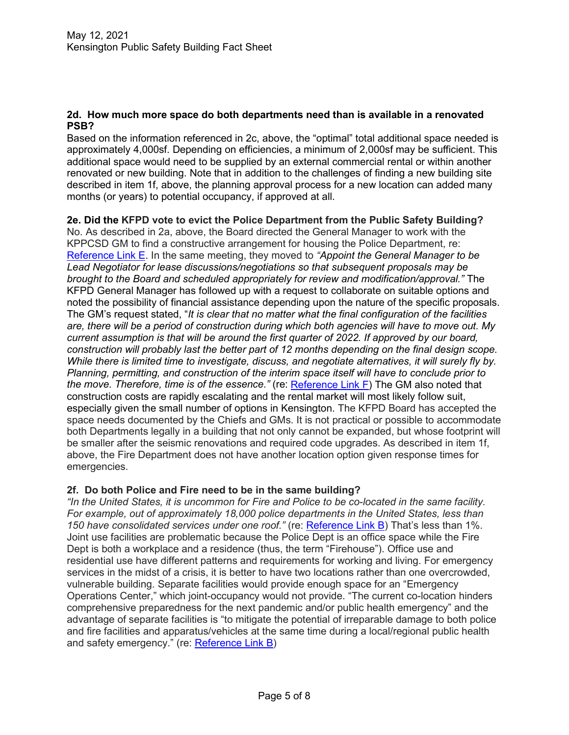#### **2d. How much more space do both departments need than is available in a renovated PSB?**

Based on the information referenced in 2c, above, the "optimal" total additional space needed is approximately 4,000sf. Depending on efficiencies, a minimum of 2,000sf may be sufficient. This additional space would need to be supplied by an external commercial rental or within another renovated or new building. Note that in addition to the challenges of finding a new building site described in item 1f, above, the planning approval process for a new location can added many months (or years) to potential occupancy, if approved at all.

**2e. Did the KFPD vote to evict the Police Department from the Public Safety Building?** No. As described in 2a, above, the Board directed the General Manager to work with the KPPCSD GM to find a constructive arrangement for housing the Police Department, re: [Reference Link E.](https://www.kensingtonfire.org/files/a4225cadb/20210414_04c+PSB+Recommendation+Introduction.pdf) In the same meeting, they moved to *"Appoint the General Manager to be Lead Negotiator for lease discussions/negotiations so that subsequent proposals may be brought to the Board and scheduled appropriately for review and modification/approval."* The KFPD General Manager has followed up with a request to collaborate on suitable options and noted the possibility of financial assistance depending upon the nature of the specific proposals. The GM's request stated, "*It is clear that no matter what the final configuration of the facilities are, there will be a period of construction during which both agencies will have to move out. My current assumption is that will be around the first quarter of 2022. If approved by our board, construction will probably last the better part of 12 months depending on the final design scope. While there is limited time to investigate, discuss, and negotiate alternatives, it will surely fly by. Planning, permitting, and construction of the interim space itself will have to conclude prior to the move. Therefore, time is of the essence."* (re: [Reference Link F\)](https://www.kensingtonfire.org/files/5db8b6289/20210506+KFPD+Letter+to+KPPCSD.pdf) The GM also noted that construction costs are rapidly escalating and the rental market will most likely follow suit, especially given the small number of options in Kensington. The KFPD Board has accepted the space needs documented by the Chiefs and GMs. It is not practical or possible to accommodate both Departments legally in a building that not only cannot be expanded, but whose footprint will be smaller after the seismic renovations and required code upgrades. As described in item 1f, above, the Fire Department does not have another location option given response times for emergencies.

## **2f. Do both Police and Fire need to be in the same building?**

*"In the United States, it is uncommon for Fire and Police to be co-located in the same facility. For example, out of approximately 18,000 police departments in the United States, less than*  150 have consolidated services under one roof." (re: [Reference Link B\)](https://www.kensingtonfire.org/files/dd36e8896/20210311+KPPCSD+Preliminary+Needs+Assessment+and+Financial+Analysis.pdf) That's less than 1%. Joint use facilities are problematic because the Police Dept is an office space while the Fire Dept is both a workplace and a residence (thus, the term "Firehouse"). Office use and residential use have different patterns and requirements for working and living. For emergency services in the midst of a crisis, it is better to have two locations rather than one overcrowded, vulnerable building. Separate facilities would provide enough space for an "Emergency Operations Center," which joint-occupancy would not provide. "The current co-location hinders comprehensive preparedness for the next pandemic and/or public health emergency" and the advantage of separate facilities is "to mitigate the potential of irreparable damage to both police and fire facilities and apparatus/vehicles at the same time during a local/regional public health and safety emergency." (re: [Reference Link B\)](https://www.kensingtonfire.org/files/dd36e8896/20210311+KPPCSD+Preliminary+Needs+Assessment+and+Financial+Analysis.pdf)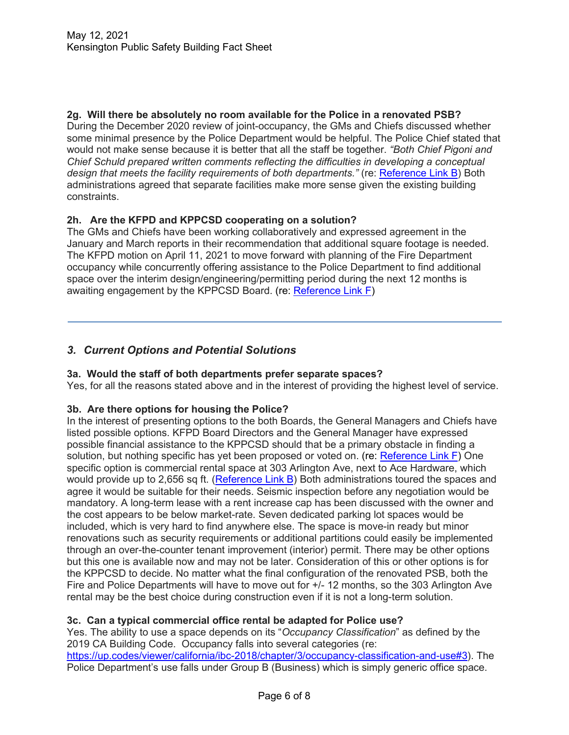**2g. Will there be absolutely no room available for the Police in a renovated PSB?** During the December 2020 review of joint-occupancy, the GMs and Chiefs discussed whether some minimal presence by the Police Department would be helpful. The Police Chief stated that would not make sense because it is better that all the staff be together. *"Both Chief Pigoni and Chief Schuld prepared written comments reflecting the difficulties in developing a conceptual design that meets the facility requirements of both departments."* (re: [Reference Link B\)](https://www.kensingtonfire.org/files/dd36e8896/20210311+KPPCSD+Preliminary+Needs+Assessment+and+Financial+Analysis.pdf) Both administrations agreed that separate facilities make more sense given the existing building constraints.

# **2h. Are the KFPD and KPPCSD cooperating on a solution?**

The GMs and Chiefs have been working collaboratively and expressed agreement in the January and March reports in their recommendation that additional square footage is needed. The KFPD motion on April 11, 2021 to move forward with planning of the Fire Department occupancy while concurrently offering assistance to the Police Department to find additional space over the interim design/engineering/permitting period during the next 12 months is awaiting engagement by the KPPCSD Board. (re: [Reference Link F\)](https://www.kensingtonfire.org/files/5db8b6289/20210506+KFPD+Letter+to+KPPCSD.pdf)

# *3. Current Options and Potential Solutions*

## **3a. Would the staff of both departments prefer separate spaces?**

Yes, for all the reasons stated above and in the interest of providing the highest level of service.

## **3b. Are there options for housing the Police?**

In the interest of presenting options to the both Boards, the General Managers and Chiefs have listed possible options. KFPD Board Directors and the General Manager have expressed possible financial assistance to the KPPCSD should that be a primary obstacle in finding a solution, but nothing specific has yet been proposed or voted on. (re: [Reference Link F\)](https://www.kensingtonfire.org/files/5db8b6289/20210506+KFPD+Letter+to+KPPCSD.pdf) One specific option is commercial rental space at 303 Arlington Ave, next to Ace Hardware, which would provide up to 2,656 sq ft. [\(Reference Link B\)](https://www.kensingtonfire.org/files/dd36e8896/20210311+KPPCSD+Preliminary+Needs+Assessment+and+Financial+Analysis.pdf) Both administrations toured the spaces and agree it would be suitable for their needs. Seismic inspection before any negotiation would be mandatory. A long-term lease with a rent increase cap has been discussed with the owner and the cost appears to be below market-rate. Seven dedicated parking lot spaces would be included, which is very hard to find anywhere else. The space is move-in ready but minor renovations such as security requirements or additional partitions could easily be implemented through an over-the-counter tenant improvement (interior) permit. There may be other options but this one is available now and may not be later. Consideration of this or other options is for the KPPCSD to decide. No matter what the final configuration of the renovated PSB, both the Fire and Police Departments will have to move out for +/- 12 months, so the 303 Arlington Ave rental may be the best choice during construction even if it is not a long-term solution.

## **3c. Can a typical commercial office rental be adapted for Police use?**

Yes. The ability to use a space depends on its "*Occupancy Classification*" as defined by the 2019 CA Building Code. Occupancy falls into several categories (re: [https://up.codes/viewer/california/ibc-2018/chapter/3/occupancy-classification-and-use#3\)](https://up.codes/viewer/california/ibc-2018/chapter/3/occupancy-classification-and-use#3). The Police Department's use falls under Group B (Business) which is simply generic office space.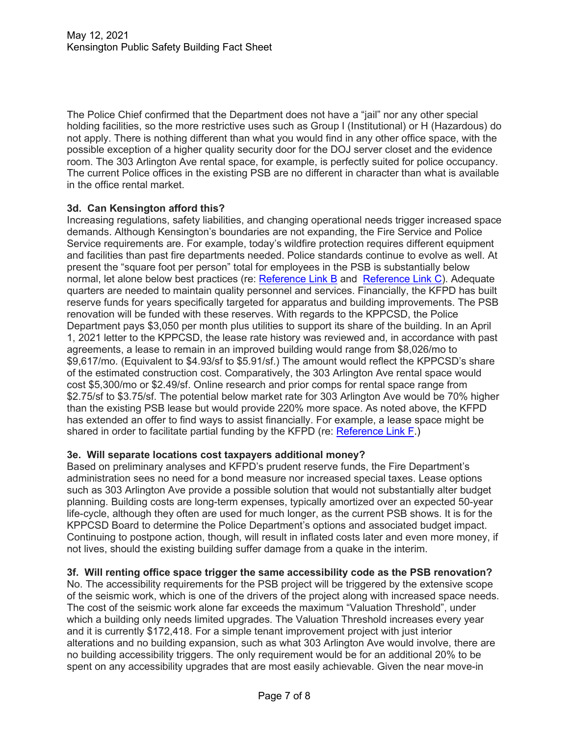The Police Chief confirmed that the Department does not have a "jail" nor any other special holding facilities, so the more restrictive uses such as Group I (Institutional) or H (Hazardous) do not apply. There is nothing different than what you would find in any other office space, with the possible exception of a higher quality security door for the DOJ server closet and the evidence room. The 303 Arlington Ave rental space, for example, is perfectly suited for police occupancy. The current Police offices in the existing PSB are no different in character than what is available in the office rental market.

## **3d. Can Kensington afford this?**

Increasing regulations, safety liabilities, and changing operational needs trigger increased space demands. Although Kensington's boundaries are not expanding, the Fire Service and Police Service requirements are. For example, today's wildfire protection requires different equipment and facilities than past fire departments needed. Police standards continue to evolve as well. At present the "square foot per person" total for employees in the PSB is substantially below normal, let alone below best practices (re: [Reference Link B](https://www.kensingtonfire.org/files/dd36e8896/20210311+KPPCSD+Preliminary+Needs+Assessment+and+Financial+Analysis.pdf) and [Reference Link C\)](https://www.kensingtonfire.org/files/aa41d3abd/Mar+25%2C+2021+Joint+Board+Mtg+on+Status%2C+Needs%2C+and+Variables.pdf). Adequate quarters are needed to maintain quality personnel and services. Financially, the KFPD has built reserve funds for years specifically targeted for apparatus and building improvements. The PSB renovation will be funded with these reserves. With regards to the KPPCSD, the Police Department pays \$3,050 per month plus utilities to support its share of the building. In an April 1, 2021 letter to the KPPCSD, the lease rate history was reviewed and, in accordance with past agreements, a lease to remain in an improved building would range from \$8,026/mo to \$9,617/mo. (Equivalent to \$4.93/sf to \$5.91/sf.) The amount would reflect the KPPCSD's share of the estimated construction cost. Comparatively, the 303 Arlington Ave rental space would cost \$5,300/mo or \$2.49/sf. Online research and prior comps for rental space range from \$2.75/sf to \$3.75/sf. The potential below market rate for 303 Arlington Ave would be 70% higher than the existing PSB lease but would provide 220% more space. As noted above, the KFPD has extended an offer to find ways to assist financially. For example, a lease space might be shared in order to facilitate partial funding by the KFPD (re: [Reference Link F.](https://www.kensingtonfire.org/files/5db8b6289/20210506+KFPD+Letter+to+KPPCSD.pdf))

## **3e. Will separate locations cost taxpayers additional money?**

Based on preliminary analyses and KFPD's prudent reserve funds, the Fire Department's administration sees no need for a bond measure nor increased special taxes. Lease options such as 303 Arlington Ave provide a possible solution that would not substantially alter budget planning. Building costs are long-term expenses, typically amortized over an expected 50-year life-cycle, although they often are used for much longer, as the current PSB shows. It is for the KPPCSD Board to determine the Police Department's options and associated budget impact. Continuing to postpone action, though, will result in inflated costs later and even more money, if not lives, should the existing building suffer damage from a quake in the interim.

#### **3f. Will renting office space trigger the same accessibility code as the PSB renovation?**

No. The accessibility requirements for the PSB project will be triggered by the extensive scope of the seismic work, which is one of the drivers of the project along with increased space needs. The cost of the seismic work alone far exceeds the maximum "Valuation Threshold", under which a building only needs limited upgrades. The Valuation Threshold increases every year and it is currently \$172,418. For a simple tenant improvement project with just interior alterations and no building expansion, such as what 303 Arlington Ave would involve, there are no building accessibility triggers. The only requirement would be for an additional 20% to be spent on any accessibility upgrades that are most easily achievable. Given the near move-in